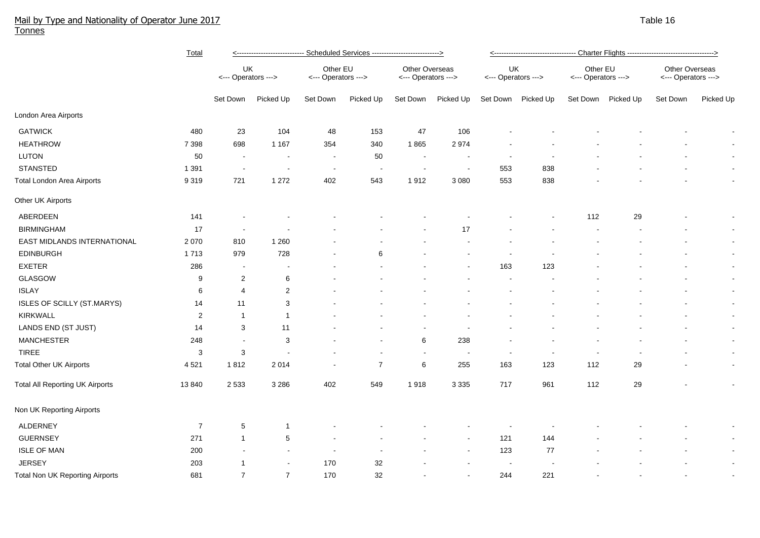## Mail by Type and Nationality of Operator June 2017 National Control of American Control of Table 16 and Table 16 and Table 16 and Table 16 and Table 16 and Table 16 and Table 16 and Table 16 and Table 16 and Table 16 and T Tonnes

|                                        | Total          | Scheduled Services ---------------------------> |                          |                                 |                          |                                       |                          |                           |                          |                                 |           |                                       |                |
|----------------------------------------|----------------|-------------------------------------------------|--------------------------|---------------------------------|--------------------------|---------------------------------------|--------------------------|---------------------------|--------------------------|---------------------------------|-----------|---------------------------------------|----------------|
|                                        |                | UK<br><--- Operators --->                       |                          | Other EU<br><--- Operators ---> |                          | Other Overseas<br><--- Operators ---> |                          | UK<br><--- Operators ---> |                          | Other EU<br><--- Operators ---> |           | Other Overseas<br><--- Operators ---> |                |
|                                        |                | Set Down                                        | Picked Up                | Set Down                        | Picked Up                | Set Down                              | Picked Up                | Set Down                  | Picked Up                | Set Down                        | Picked Up | Set Down                              | Picked Up      |
| London Area Airports                   |                |                                                 |                          |                                 |                          |                                       |                          |                           |                          |                                 |           |                                       |                |
| <b>GATWICK</b>                         | 480            | 23                                              | 104                      | 48                              | 153                      | 47                                    | 106                      |                           |                          |                                 |           |                                       |                |
| <b>HEATHROW</b>                        | 7 3 9 8        | 698                                             | 1 1 6 7                  | 354                             | 340                      | 1865                                  | 2974                     |                           |                          |                                 |           |                                       |                |
| LUTON                                  | 50             | $\blacksquare$                                  | $\overline{\phantom{a}}$ | $\sim$                          | 50                       | $\sim$                                | $\overline{\phantom{a}}$ |                           |                          |                                 |           |                                       | $\blacksquare$ |
| <b>STANSTED</b>                        | 1 3 9 1        | $\overline{\phantom{a}}$                        |                          | $\overline{\phantom{a}}$        | $\overline{\phantom{a}}$ | $\overline{\phantom{a}}$              | $\blacksquare$           | 553                       | 838                      |                                 |           |                                       | $\blacksquare$ |
| <b>Total London Area Airports</b>      | 9 3 1 9        | 721                                             | 1 2 7 2                  | 402                             | 543                      | 1912                                  | 3 0 8 0                  | 553                       | 838                      |                                 |           |                                       | $\blacksquare$ |
| Other UK Airports                      |                |                                                 |                          |                                 |                          |                                       |                          |                           |                          |                                 |           |                                       |                |
| ABERDEEN                               | 141            |                                                 |                          |                                 |                          |                                       |                          |                           |                          | 112                             | 29        |                                       | $\blacksquare$ |
| <b>BIRMINGHAM</b>                      | 17             | $\sim$                                          |                          |                                 |                          |                                       | 17                       |                           |                          |                                 |           |                                       | $\blacksquare$ |
| EAST MIDLANDS INTERNATIONAL            | 2 0 7 0        | 810                                             | 1 2 6 0                  |                                 |                          |                                       |                          |                           |                          |                                 |           |                                       |                |
| <b>EDINBURGH</b>                       | 1713           | 979                                             | 728                      |                                 | 6                        |                                       |                          |                           |                          |                                 |           |                                       | $\blacksquare$ |
| <b>EXETER</b>                          | 286            | $\blacksquare$                                  | $\overline{\phantom{a}}$ |                                 |                          |                                       |                          | 163                       | 123                      |                                 |           |                                       | $\blacksquare$ |
| GLASGOW                                | 9              | $\overline{2}$                                  | 6                        |                                 |                          |                                       |                          |                           |                          |                                 |           |                                       | $\blacksquare$ |
| <b>ISLAY</b>                           | $\,6\,$        | $\overline{4}$                                  | $\overline{2}$           |                                 |                          |                                       |                          |                           |                          |                                 |           |                                       | $\blacksquare$ |
| ISLES OF SCILLY (ST.MARYS)             | 14             | 11                                              | 3                        |                                 |                          |                                       |                          |                           |                          |                                 |           |                                       | $\blacksquare$ |
| <b>KIRKWALL</b>                        | $\overline{2}$ | $\mathbf{1}$                                    | $\overline{1}$           |                                 |                          |                                       |                          |                           |                          |                                 |           |                                       | $\blacksquare$ |
| LANDS END (ST JUST)                    | 14             | 3                                               | 11                       |                                 |                          | $\blacksquare$                        | $\overline{\phantom{a}}$ |                           |                          |                                 |           |                                       | $\blacksquare$ |
| <b>MANCHESTER</b>                      | 248            | $\sim$                                          | 3                        |                                 |                          | 6                                     | 238                      |                           |                          |                                 |           |                                       | $\blacksquare$ |
| <b>TIREE</b>                           | 3              | $\mathbf{3}$                                    |                          |                                 |                          | $\overline{\phantom{a}}$              | $\blacksquare$           | $\overline{\phantom{a}}$  | $\overline{\phantom{a}}$ |                                 |           |                                       | $\blacksquare$ |
| <b>Total Other UK Airports</b>         | 4521           | 1812                                            | 2 0 1 4                  |                                 | $\overline{7}$           | 6                                     | 255                      | 163                       | 123                      | 112                             | 29        |                                       | $\blacksquare$ |
| <b>Total All Reporting UK Airports</b> | 13 840         | 2 5 3 3                                         | 3 2 8 6                  | 402                             | 549                      | 1918                                  | 3 3 3 5                  | 717                       | 961                      | 112                             | 29        |                                       | $\blacksquare$ |
| Non UK Reporting Airports              |                |                                                 |                          |                                 |                          |                                       |                          |                           |                          |                                 |           |                                       |                |
| ALDERNEY                               | $\overline{7}$ | $\overline{5}$                                  | $\overline{1}$           |                                 |                          |                                       |                          |                           |                          |                                 |           |                                       |                |
| <b>GUERNSEY</b>                        | 271            | $\mathbf{1}$                                    | $\,$ 5 $\,$              |                                 |                          |                                       | $\overline{\phantom{a}}$ | 121                       | 144                      |                                 |           |                                       | $\blacksquare$ |
| <b>ISLE OF MAN</b>                     | 200            |                                                 | $\blacksquare$           | $\overline{\phantom{a}}$        |                          |                                       | $\sim$                   | 123                       | 77                       |                                 |           |                                       | $\blacksquare$ |
| <b>JERSEY</b>                          | 203            | 1                                               | $\sim$                   | 170                             | 32                       |                                       |                          | $\sim$                    |                          |                                 |           |                                       | $\blacksquare$ |
| Total Non UK Reporting Airports        | 681            | $\overline{7}$                                  | $\overline{7}$           | 170                             | 32                       |                                       |                          | 244                       | 221                      |                                 |           |                                       | $\blacksquare$ |